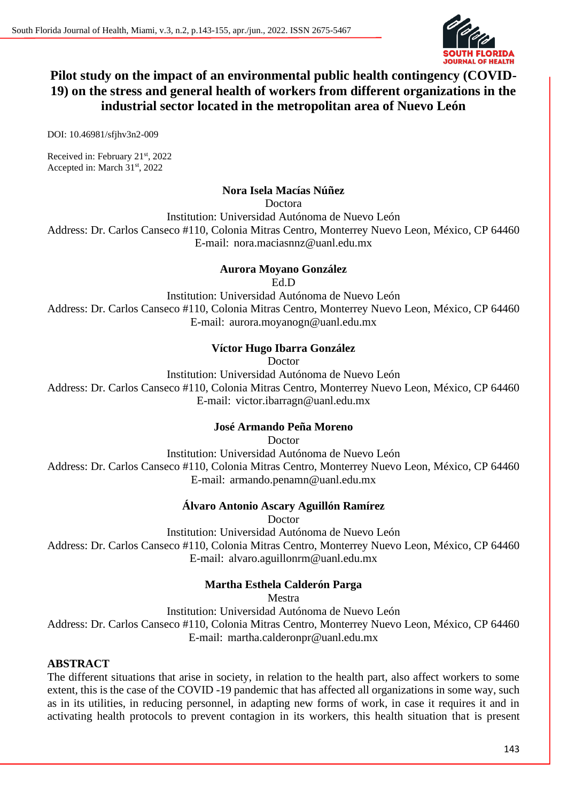

# **Pilot study on the impact of an environmental public health contingency (COVID-19) on the stress and general health of workers from different organizations in the industrial sector located in the metropolitan area of Nuevo León**

DOI: 10.46981/sfjhv3n2-009

Received in: February 21st, 2022 Accepted in: March 31<sup>st</sup>, 2022

### **Nora Isela Macías Núñez**

Doctora

Institution: Universidad Autónoma de Nuevo León Address: Dr. Carlos Canseco #110, Colonia Mitras Centro, Monterrey Nuevo Leon, México, CP 64460 E-mail: nora.maciasnnz@uanl.edu.mx

### **Aurora Moyano González**

Ed.D

Institution: Universidad Autónoma de Nuevo León Address: Dr. Carlos Canseco #110, Colonia Mitras Centro, Monterrey Nuevo Leon, México, CP 64460 E-mail: aurora.moyanogn@uanl.edu.mx

### **Víctor Hugo Ibarra González**

Doctor

Institution: Universidad Autónoma de Nuevo León Address: Dr. Carlos Canseco #110, Colonia Mitras Centro, Monterrey Nuevo Leon, México, CP 64460 E-mail: victor.ibarragn@uanl.edu.mx

### **José Armando Peña Moreno**

Doctor

Institution: Universidad Autónoma de Nuevo León Address: Dr. Carlos Canseco #110, Colonia Mitras Centro, Monterrey Nuevo Leon, México, CP 64460 E-mail: armando.penamn@uanl.edu.mx

### **Álvaro Antonio Ascary Aguillón Ramírez**

Doctor

Institution: Universidad Autónoma de Nuevo León Address: Dr. Carlos Canseco #110, Colonia Mitras Centro, Monterrey Nuevo Leon, México, CP 64460 E-mail: alvaro.aguillonrm@uanl.edu.mx

# **Martha Esthela Calderón Parga**

Mestra

Institution: Universidad Autónoma de Nuevo León Address: Dr. Carlos Canseco #110, Colonia Mitras Centro, Monterrey Nuevo Leon, México, CP 64460

E-mail: martha.calderonpr@uanl.edu.mx

### **ABSTRACT**

The different situations that arise in society, in relation to the health part, also affect workers to some extent, this is the case of the COVID -19 pandemic that has affected all organizations in some way, such as in its utilities, in reducing personnel, in adapting new forms of work, in case it requires it and in activating health protocols to prevent contagion in its workers, this health situation that is present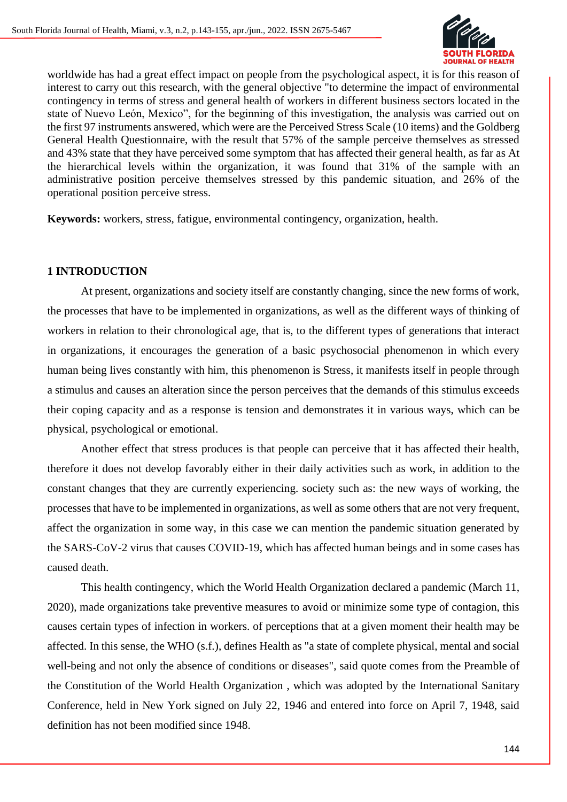

worldwide has had a great effect impact on people from the psychological aspect, it is for this reason of interest to carry out this research, with the general objective "to determine the impact of environmental contingency in terms of stress and general health of workers in different business sectors located in the state of Nuevo León, Mexico", for the beginning of this investigation, the analysis was carried out on the first 97 instruments answered, which were are the Perceived Stress Scale (10 items) and the Goldberg General Health Questionnaire, with the result that 57% of the sample perceive themselves as stressed and 43% state that they have perceived some symptom that has affected their general health, as far as At the hierarchical levels within the organization, it was found that 31% of the sample with an administrative position perceive themselves stressed by this pandemic situation, and 26% of the operational position perceive stress.

**Keywords:** workers, stress, fatigue, environmental contingency, organization, health.

### **1 INTRODUCTION**

At present, organizations and society itself are constantly changing, since the new forms of work, the processes that have to be implemented in organizations, as well as the different ways of thinking of workers in relation to their chronological age, that is, to the different types of generations that interact in organizations, it encourages the generation of a basic psychosocial phenomenon in which every human being lives constantly with him, this phenomenon is Stress, it manifests itself in people through a stimulus and causes an alteration since the person perceives that the demands of this stimulus exceeds their coping capacity and as a response is tension and demonstrates it in various ways, which can be physical, psychological or emotional.

Another effect that stress produces is that people can perceive that it has affected their health, therefore it does not develop favorably either in their daily activities such as work, in addition to the constant changes that they are currently experiencing. society such as: the new ways of working, the processes that have to be implemented in organizations, as well as some others that are not very frequent, affect the organization in some way, in this case we can mention the pandemic situation generated by the SARS-CoV-2 virus that causes COVID-19, which has affected human beings and in some cases has caused death.

This health contingency, which the World Health Organization declared a pandemic (March 11, 2020), made organizations take preventive measures to avoid or minimize some type of contagion, this causes certain types of infection in workers. of perceptions that at a given moment their health may be affected. In this sense, the WHO (s.f.), defines Health as "a state of complete physical, mental and social well-being and not only the absence of conditions or diseases", said quote comes from the Preamble of the Constitution of the World Health Organization , which was adopted by the International Sanitary Conference, held in New York signed on July 22, 1946 and entered into force on April 7, 1948, said definition has not been modified since 1948.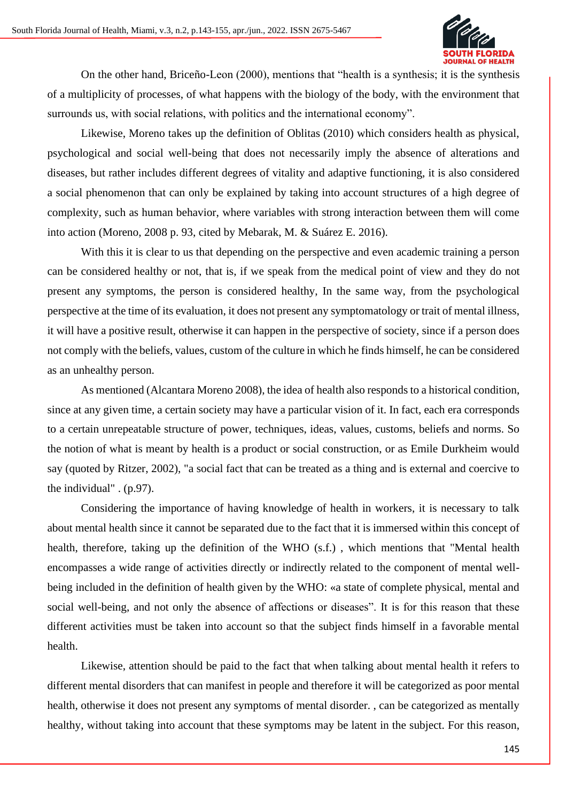

On the other hand, Briceño-Leon (2000), mentions that "health is a synthesis; it is the synthesis of a multiplicity of processes, of what happens with the biology of the body, with the environment that surrounds us, with social relations, with politics and the international economy".

Likewise, Moreno takes up the definition of Oblitas (2010) which considers health as physical, psychological and social well-being that does not necessarily imply the absence of alterations and diseases, but rather includes different degrees of vitality and adaptive functioning, it is also considered a social phenomenon that can only be explained by taking into account structures of a high degree of complexity, such as human behavior, where variables with strong interaction between them will come into action (Moreno, 2008 p. 93, cited by Mebarak, M. & Suárez E. 2016).

With this it is clear to us that depending on the perspective and even academic training a person can be considered healthy or not, that is, if we speak from the medical point of view and they do not present any symptoms, the person is considered healthy, In the same way, from the psychological perspective at the time of its evaluation, it does not present any symptomatology or trait of mental illness, it will have a positive result, otherwise it can happen in the perspective of society, since if a person does not comply with the beliefs, values, custom of the culture in which he finds himself, he can be considered as an unhealthy person.

As mentioned (Alcantara Moreno 2008), the idea of health also responds to a historical condition, since at any given time, a certain society may have a particular vision of it. In fact, each era corresponds to a certain unrepeatable structure of power, techniques, ideas, values, customs, beliefs and norms. So the notion of what is meant by health is a product or social construction, or as Emile Durkheim would say (quoted by Ritzer, 2002), "a social fact that can be treated as a thing and is external and coercive to the individual" . (p.97).

Considering the importance of having knowledge of health in workers, it is necessary to talk about mental health since it cannot be separated due to the fact that it is immersed within this concept of health, therefore, taking up the definition of the WHO (s.f.) , which mentions that "Mental health encompasses a wide range of activities directly or indirectly related to the component of mental wellbeing included in the definition of health given by the WHO: «a state of complete physical, mental and social well-being, and not only the absence of affections or diseases". It is for this reason that these different activities must be taken into account so that the subject finds himself in a favorable mental health.

Likewise, attention should be paid to the fact that when talking about mental health it refers to different mental disorders that can manifest in people and therefore it will be categorized as poor mental health, otherwise it does not present any symptoms of mental disorder. , can be categorized as mentally healthy, without taking into account that these symptoms may be latent in the subject. For this reason,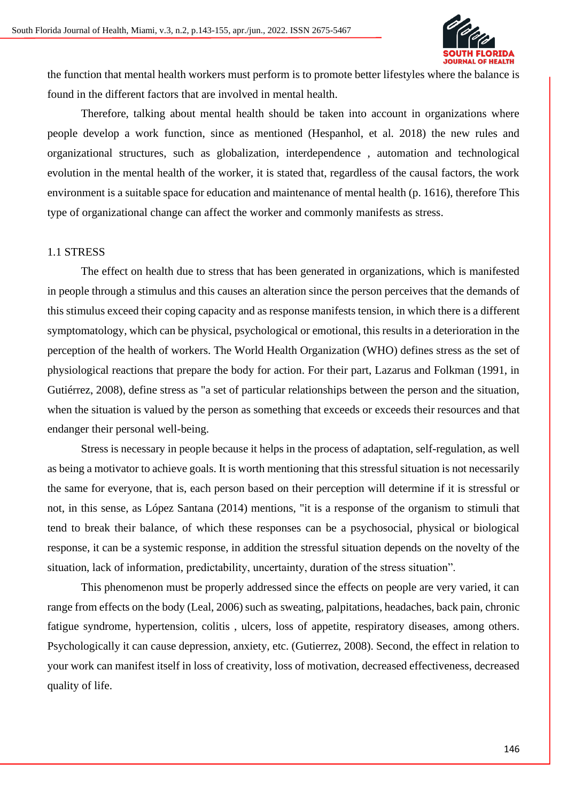

the function that mental health workers must perform is to promote better lifestyles where the balance is found in the different factors that are involved in mental health.

Therefore, talking about mental health should be taken into account in organizations where people develop a work function, since as mentioned (Hespanhol, et al. 2018) the new rules and organizational structures, such as globalization, interdependence , automation and technological evolution in the mental health of the worker, it is stated that, regardless of the causal factors, the work environment is a suitable space for education and maintenance of mental health (p. 1616), therefore This type of organizational change can affect the worker and commonly manifests as stress.

#### 1.1 STRESS

The effect on health due to stress that has been generated in organizations, which is manifested in people through a stimulus and this causes an alteration since the person perceives that the demands of this stimulus exceed their coping capacity and as response manifests tension, in which there is a different symptomatology, which can be physical, psychological or emotional, this results in a deterioration in the perception of the health of workers. The World Health Organization (WHO) defines stress as the set of physiological reactions that prepare the body for action. For their part, Lazarus and Folkman (1991, in Gutiérrez, 2008), define stress as "a set of particular relationships between the person and the situation, when the situation is valued by the person as something that exceeds or exceeds their resources and that endanger their personal well-being.

Stress is necessary in people because it helps in the process of adaptation, self-regulation, as well as being a motivator to achieve goals. It is worth mentioning that this stressful situation is not necessarily the same for everyone, that is, each person based on their perception will determine if it is stressful or not, in this sense, as López Santana (2014) mentions, "it is a response of the organism to stimuli that tend to break their balance, of which these responses can be a psychosocial, physical or biological response, it can be a systemic response, in addition the stressful situation depends on the novelty of the situation, lack of information, predictability, uncertainty, duration of the stress situation".

This phenomenon must be properly addressed since the effects on people are very varied, it can range from effects on the body (Leal, 2006) such as sweating, palpitations, headaches, back pain, chronic fatigue syndrome, hypertension, colitis , ulcers, loss of appetite, respiratory diseases, among others. Psychologically it can cause depression, anxiety, etc. (Gutierrez, 2008). Second, the effect in relation to your work can manifest itself in loss of creativity, loss of motivation, decreased effectiveness, decreased quality of life.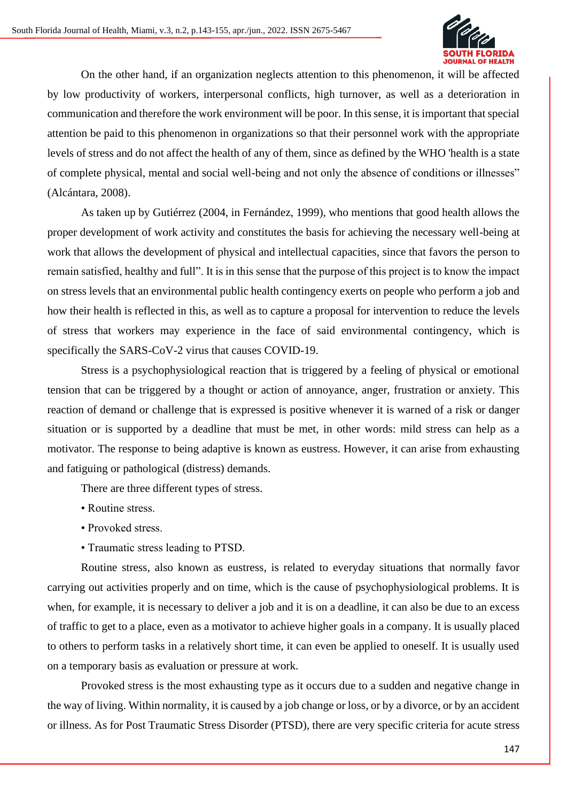

On the other hand, if an organization neglects attention to this phenomenon, it will be affected by low productivity of workers, interpersonal conflicts, high turnover, as well as a deterioration in communication and therefore the work environment will be poor. In this sense, it is important that special attention be paid to this phenomenon in organizations so that their personnel work with the appropriate levels of stress and do not affect the health of any of them, since as defined by the WHO 'health is a state of complete physical, mental and social well-being and not only the absence of conditions or illnesses" (Alcántara, 2008).

As taken up by Gutiérrez (2004, in Fernández, 1999), who mentions that good health allows the proper development of work activity and constitutes the basis for achieving the necessary well-being at work that allows the development of physical and intellectual capacities, since that favors the person to remain satisfied, healthy and full". It is in this sense that the purpose of this project is to know the impact on stress levels that an environmental public health contingency exerts on people who perform a job and how their health is reflected in this, as well as to capture a proposal for intervention to reduce the levels of stress that workers may experience in the face of said environmental contingency, which is specifically the SARS-CoV-2 virus that causes COVID-19.

Stress is a psychophysiological reaction that is triggered by a feeling of physical or emotional tension that can be triggered by a thought or action of annoyance, anger, frustration or anxiety. This reaction of demand or challenge that is expressed is positive whenever it is warned of a risk or danger situation or is supported by a deadline that must be met, in other words: mild stress can help as a motivator. The response to being adaptive is known as eustress. However, it can arise from exhausting and fatiguing or pathological (distress) demands.

There are three different types of stress.

- Routine stress.
- Provoked stress.
- Traumatic stress leading to PTSD.

Routine stress, also known as eustress, is related to everyday situations that normally favor carrying out activities properly and on time, which is the cause of psychophysiological problems. It is when, for example, it is necessary to deliver a job and it is on a deadline, it can also be due to an excess of traffic to get to a place, even as a motivator to achieve higher goals in a company. It is usually placed to others to perform tasks in a relatively short time, it can even be applied to oneself. It is usually used on a temporary basis as evaluation or pressure at work.

Provoked stress is the most exhausting type as it occurs due to a sudden and negative change in the way of living. Within normality, it is caused by a job change or loss, or by a divorce, or by an accident or illness. As for Post Traumatic Stress Disorder (PTSD), there are very specific criteria for acute stress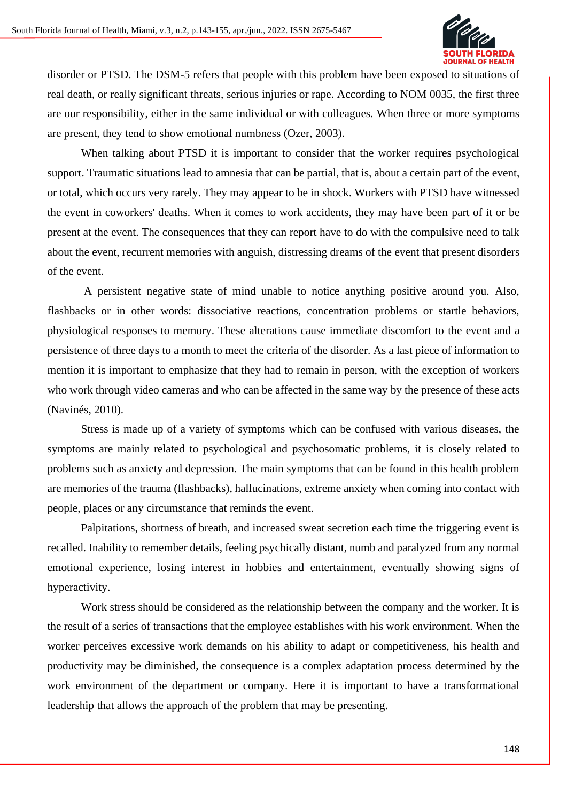

disorder or PTSD. The DSM-5 refers that people with this problem have been exposed to situations of real death, or really significant threats, serious injuries or rape. According to NOM 0035, the first three are our responsibility, either in the same individual or with colleagues. When three or more symptoms are present, they tend to show emotional numbness (Ozer, 2003).

When talking about PTSD it is important to consider that the worker requires psychological support. Traumatic situations lead to amnesia that can be partial, that is, about a certain part of the event, or total, which occurs very rarely. They may appear to be in shock. Workers with PTSD have witnessed the event in coworkers' deaths. When it comes to work accidents, they may have been part of it or be present at the event. The consequences that they can report have to do with the compulsive need to talk about the event, recurrent memories with anguish, distressing dreams of the event that present disorders of the event.

A persistent negative state of mind unable to notice anything positive around you. Also, flashbacks or in other words: dissociative reactions, concentration problems or startle behaviors, physiological responses to memory. These alterations cause immediate discomfort to the event and a persistence of three days to a month to meet the criteria of the disorder. As a last piece of information to mention it is important to emphasize that they had to remain in person, with the exception of workers who work through video cameras and who can be affected in the same way by the presence of these acts (Navinés, 2010).

Stress is made up of a variety of symptoms which can be confused with various diseases, the symptoms are mainly related to psychological and psychosomatic problems, it is closely related to problems such as anxiety and depression. The main symptoms that can be found in this health problem are memories of the trauma (flashbacks), hallucinations, extreme anxiety when coming into contact with people, places or any circumstance that reminds the event.

Palpitations, shortness of breath, and increased sweat secretion each time the triggering event is recalled. Inability to remember details, feeling psychically distant, numb and paralyzed from any normal emotional experience, losing interest in hobbies and entertainment, eventually showing signs of hyperactivity.

Work stress should be considered as the relationship between the company and the worker. It is the result of a series of transactions that the employee establishes with his work environment. When the worker perceives excessive work demands on his ability to adapt or competitiveness, his health and productivity may be diminished, the consequence is a complex adaptation process determined by the work environment of the department or company. Here it is important to have a transformational leadership that allows the approach of the problem that may be presenting.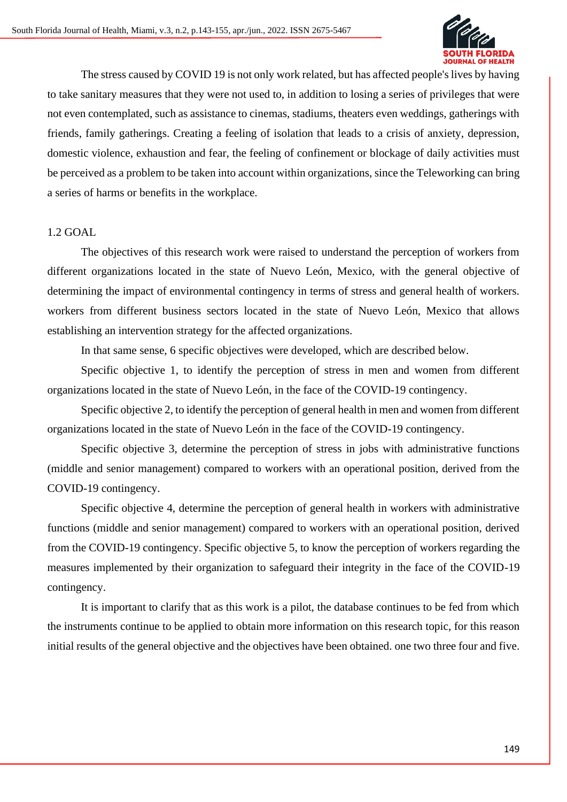

The stress caused by COVID 19 is not only work related, but has affected people's lives by having to take sanitary measures that they were not used to, in addition to losing a series of privileges that were not even contemplated, such as assistance to cinemas, stadiums, theaters even weddings, gatherings with friends, family gatherings. Creating a feeling of isolation that leads to a crisis of anxiety, depression, domestic violence, exhaustion and fear, the feeling of confinement or blockage of daily activities must be perceived as a problem to be taken into account within organizations, since the Teleworking can bring a series of harms or benefits in the workplace.

### 1.2 GOAL

The objectives of this research work were raised to understand the perception of workers from different organizations located in the state of Nuevo León, Mexico, with the general objective of determining the impact of environmental contingency in terms of stress and general health of workers. workers from different business sectors located in the state of Nuevo León, Mexico that allows establishing an intervention strategy for the affected organizations.

In that same sense, 6 specific objectives were developed, which are described below.

Specific objective 1, to identify the perception of stress in men and women from different organizations located in the state of Nuevo León, in the face of the COVID-19 contingency.

Specific objective 2, to identify the perception of general health in men and women from different organizations located in the state of Nuevo León in the face of the COVID-19 contingency.

Specific objective 3, determine the perception of stress in jobs with administrative functions (middle and senior management) compared to workers with an operational position, derived from the COVID-19 contingency.

Specific objective 4, determine the perception of general health in workers with administrative functions (middle and senior management) compared to workers with an operational position, derived from the COVID-19 contingency. Specific objective 5, to know the perception of workers regarding the measures implemented by their organization to safeguard their integrity in the face of the COVID-19 contingency.

It is important to clarify that as this work is a pilot, the database continues to be fed from which the instruments continue to be applied to obtain more information on this research topic, for this reason initial results of the general objective and the objectives have been obtained. one two three four and five.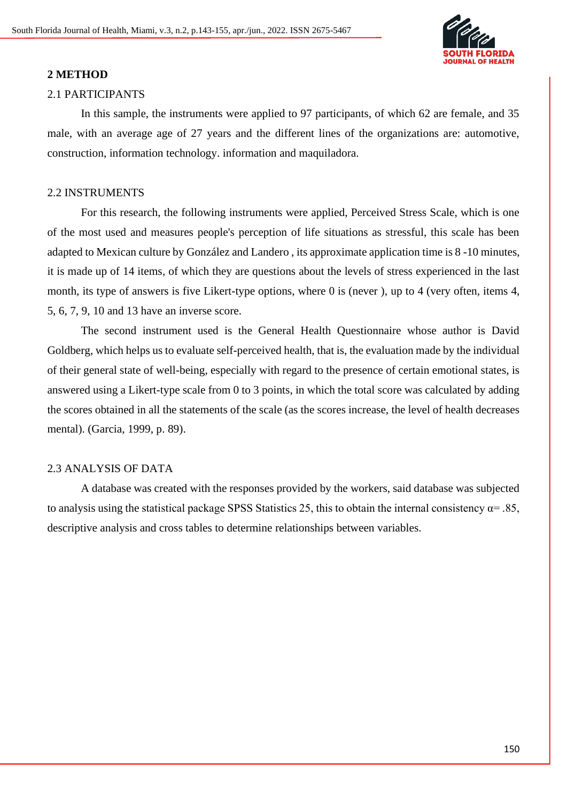

#### **2 METHOD**

#### 2.1 PARTICIPANTS

In this sample, the instruments were applied to 97 participants, of which 62 are female, and 35 male, with an average age of 27 years and the different lines of the organizations are: automotive, construction, information technology. information and maquiladora.

#### 2.2 INSTRUMENTS

For this research, the following instruments were applied, Perceived Stress Scale, which is one of the most used and measures people's perception of life situations as stressful, this scale has been adapted to Mexican culture by González and Landero , its approximate application time is 8 -10 minutes, it is made up of 14 items, of which they are questions about the levels of stress experienced in the last month, its type of answers is five Likert-type options, where 0 is (never ), up to 4 (very often, items 4, 5, 6, 7, 9, 10 and 13 have an inverse score.

The second instrument used is the General Health Questionnaire whose author is David Goldberg, which helps us to evaluate self-perceived health, that is, the evaluation made by the individual of their general state of well-being, especially with regard to the presence of certain emotional states, is answered using a Likert-type scale from 0 to 3 points, in which the total score was calculated by adding the scores obtained in all the statements of the scale (as the scores increase, the level of health decreases mental). (Garcia, 1999, p. 89).

# 2.3 ANALYSIS OF DATA

A database was created with the responses provided by the workers, said database was subjected to analysis using the statistical package SPSS Statistics 25, this to obtain the internal consistency  $\alpha$ = .85, descriptive analysis and cross tables to determine relationships between variables.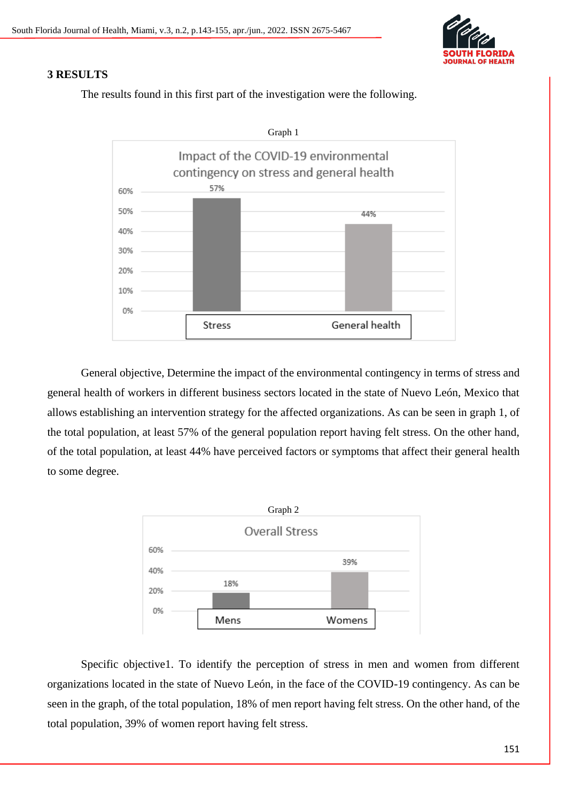

# **3 RESULTS**

The results found in this first part of the investigation were the following.



General objective, Determine the impact of the environmental contingency in terms of stress and general health of workers in different business sectors located in the state of Nuevo León, Mexico that allows establishing an intervention strategy for the affected organizations. As can be seen in graph 1, of the total population, at least 57% of the general population report having felt stress. On the other hand, of the total population, at least 44% have perceived factors or symptoms that affect their general health to some degree.



Specific objective1. To identify the perception of stress in men and women from different organizations located in the state of Nuevo León, in the face of the COVID-19 contingency. As can be seen in the graph, of the total population, 18% of men report having felt stress. On the other hand, of the total population, 39% of women report having felt stress.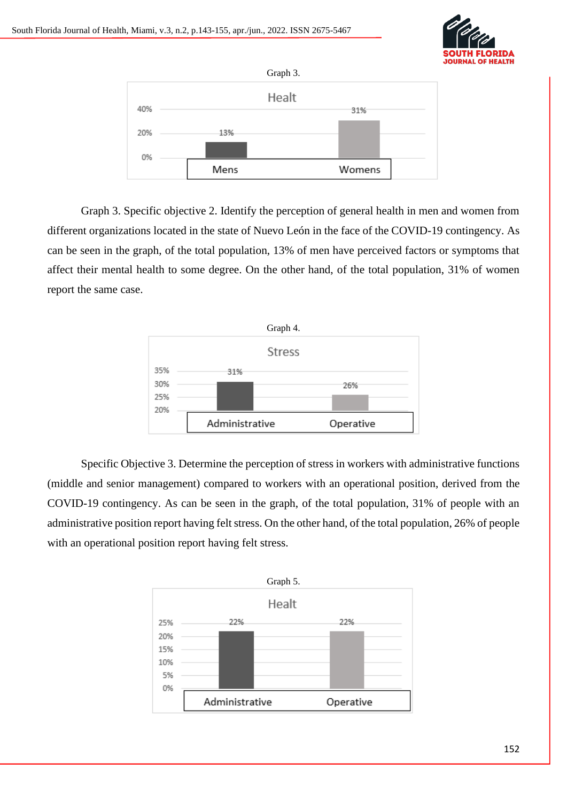



Graph 3. Specific objective 2. Identify the perception of general health in men and women from different organizations located in the state of Nuevo León in the face of the COVID-19 contingency. As can be seen in the graph, of the total population, 13% of men have perceived factors or symptoms that affect their mental health to some degree. On the other hand, of the total population, 31% of women report the same case.



Specific Objective 3. Determine the perception of stress in workers with administrative functions (middle and senior management) compared to workers with an operational position, derived from the COVID-19 contingency. As can be seen in the graph, of the total population, 31% of people with an administrative position report having felt stress. On the other hand, of the total population, 26% of people with an operational position report having felt stress.

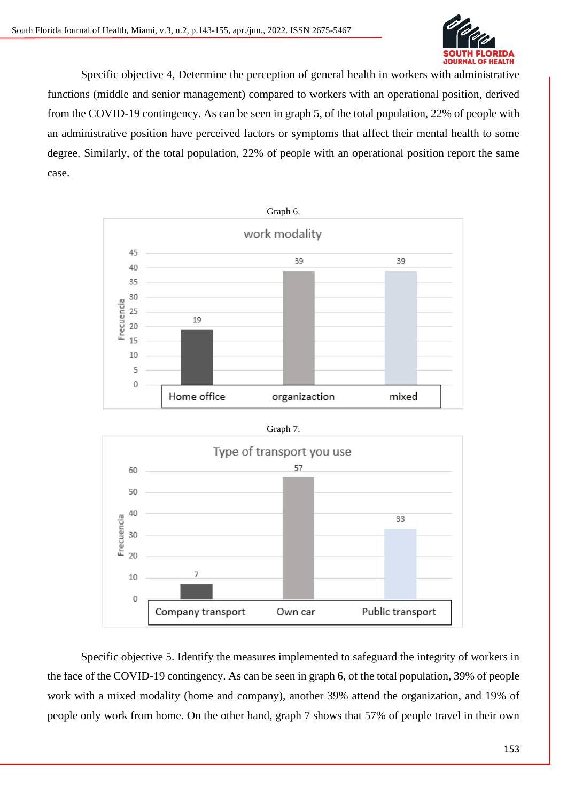

Specific objective 4, Determine the perception of general health in workers with administrative functions (middle and senior management) compared to workers with an operational position, derived from the COVID-19 contingency. As can be seen in graph 5, of the total population, 22% of people with an administrative position have perceived factors or symptoms that affect their mental health to some degree. Similarly, of the total population, 22% of people with an operational position report the same case.



Specific objective 5. Identify the measures implemented to safeguard the integrity of workers in the face of the COVID-19 contingency. As can be seen in graph 6, of the total population, 39% of people work with a mixed modality (home and company), another 39% attend the organization, and 19% of people only work from home. On the other hand, graph 7 shows that 57% of people travel in their own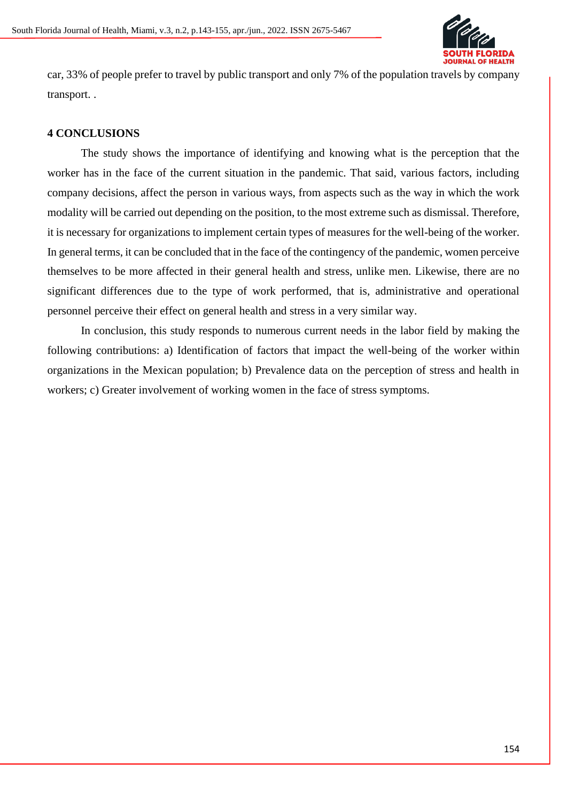

car, 33% of people prefer to travel by public transport and only 7% of the population travels by company transport. .

# **4 CONCLUSIONS**

The study shows the importance of identifying and knowing what is the perception that the worker has in the face of the current situation in the pandemic. That said, various factors, including company decisions, affect the person in various ways, from aspects such as the way in which the work modality will be carried out depending on the position, to the most extreme such as dismissal. Therefore, it is necessary for organizations to implement certain types of measures for the well-being of the worker. In general terms, it can be concluded that in the face of the contingency of the pandemic, women perceive themselves to be more affected in their general health and stress, unlike men. Likewise, there are no significant differences due to the type of work performed, that is, administrative and operational personnel perceive their effect on general health and stress in a very similar way.

In conclusion, this study responds to numerous current needs in the labor field by making the following contributions: a) Identification of factors that impact the well-being of the worker within organizations in the Mexican population; b) Prevalence data on the perception of stress and health in workers; c) Greater involvement of working women in the face of stress symptoms.